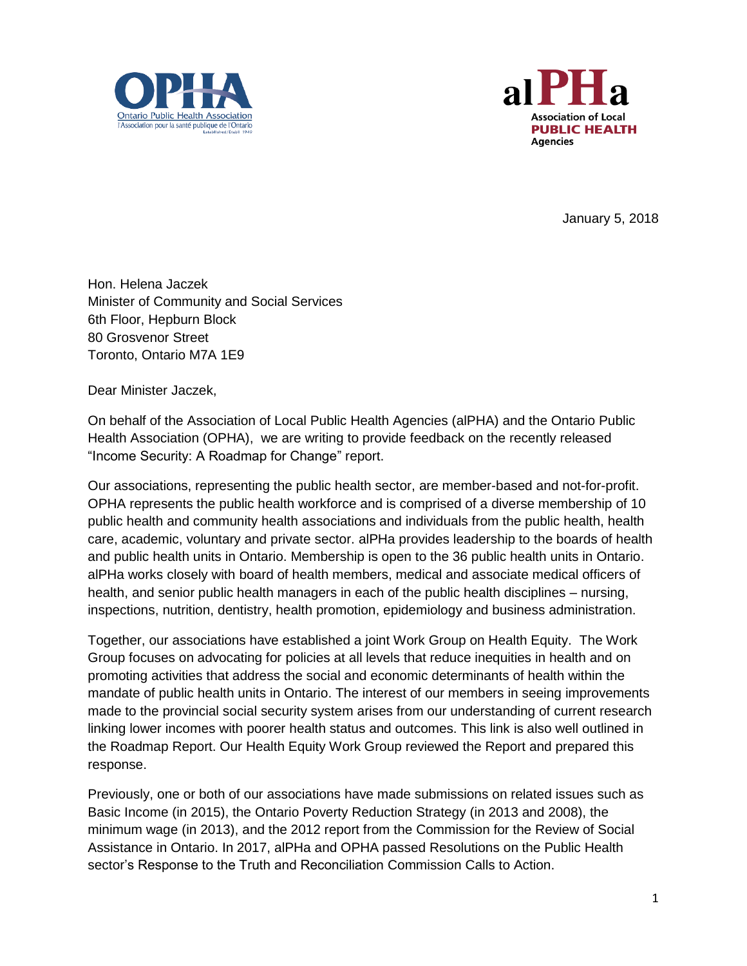



January 5, 2018

Hon. Helena Jaczek Minister of Community and Social Services 6th Floor, Hepburn Block 80 Grosvenor Street Toronto, Ontario M7A 1E9

Dear Minister Jaczek,

On behalf of the Association of Local Public Health Agencies (alPHA) and the Ontario Public Health Association (OPHA), we are writing to provide feedback on the recently released "Income Security: A Roadmap for Change" report.

Our associations, representing the public health sector, are member-based and not-for-profit. OPHA represents the public health workforce and is comprised of a diverse membership of 10 public health and community health associations and individuals from the public health, health care, academic, voluntary and private sector. alPHa provides leadership to the boards of health and public health units in Ontario. Membership is open to the 36 public health units in Ontario. alPHa works closely with board of health members, medical and associate medical officers of health, and senior public health managers in each of the public health disciplines – nursing, inspections, nutrition, dentistry, health promotion, epidemiology and business administration.

Together, our associations have established a joint Work Group on Health Equity. The Work Group focuses on advocating for policies at all levels that reduce inequities in health and on promoting activities that address the social and economic determinants of health within the mandate of public health units in Ontario. The interest of our members in seeing improvements made to the provincial social security system arises from our understanding of current research linking lower incomes with poorer health status and outcomes. This link is also well outlined in the Roadmap Report. Our Health Equity Work Group reviewed the Report and prepared this response.

Previously, one or both of our associations have made submissions on related issues such as Basic Income (in 2015), the Ontario Poverty Reduction Strategy (in 2013 and 2008), the minimum wage (in 2013), and the 2012 report from the Commission for the Review of Social Assistance in Ontario. In 2017, alPHa and OPHA passed Resolutions on the Public Health sector's Response to the Truth and Reconciliation Commission Calls to Action.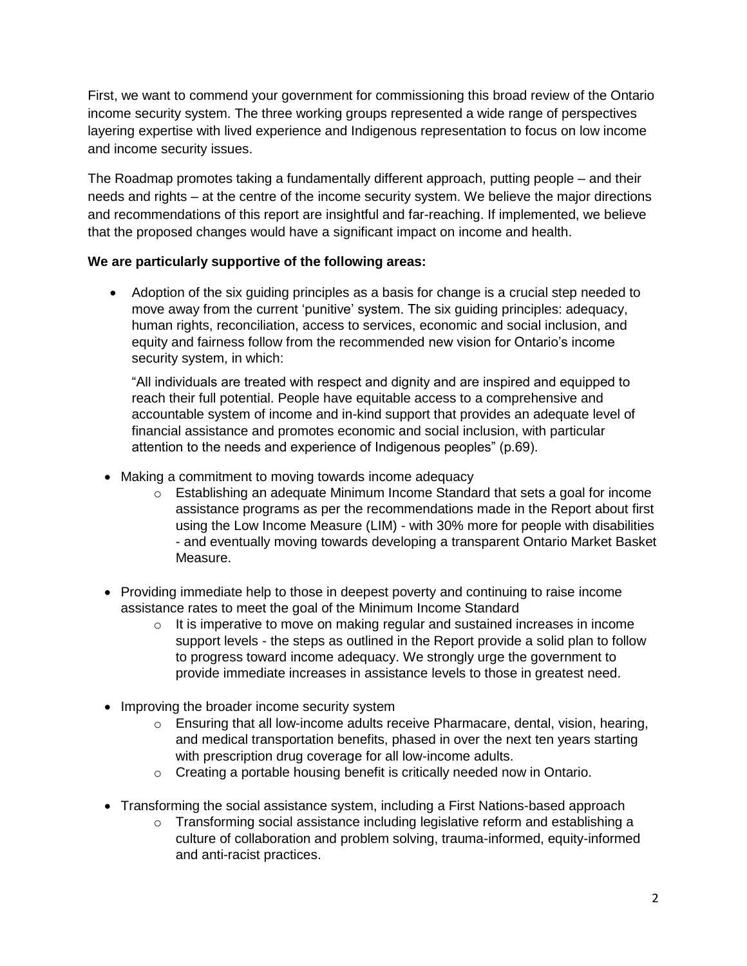First, we want to commend your government for commissioning this broad review of the Ontario income security system. The three working groups represented a wide range of perspectives layering expertise with lived experience and Indigenous representation to focus on low income and income security issues.

The Roadmap promotes taking a fundamentally different approach, putting people – and their needs and rights – at the centre of the income security system. We believe the major directions and recommendations of this report are insightful and far-reaching. If implemented, we believe that the proposed changes would have a significant impact on income and health.

## **We are particularly supportive of the following areas:**

 Adoption of the six guiding principles as a basis for change is a crucial step needed to move away from the current 'punitive' system. The six guiding principles: adequacy, human rights, reconciliation, access to services, economic and social inclusion, and equity and fairness follow from the recommended new vision for Ontario's income security system, in which:

"All individuals are treated with respect and dignity and are inspired and equipped to reach their full potential. People have equitable access to a comprehensive and accountable system of income and in-kind support that provides an adequate level of financial assistance and promotes economic and social inclusion, with particular attention to the needs and experience of Indigenous peoples" (p.69).

- Making a commitment to moving towards income adequacy
	- $\circ$  Establishing an adequate Minimum Income Standard that sets a goal for income assistance programs as per the recommendations made in the Report about first using the Low Income Measure (LIM) - with 30% more for people with disabilities - and eventually moving towards developing a transparent Ontario Market Basket Measure.
- Providing immediate help to those in deepest poverty and continuing to raise income assistance rates to meet the goal of the Minimum Income Standard
	- $\circ$  It is imperative to move on making regular and sustained increases in income support levels - the steps as outlined in the Report provide a solid plan to follow to progress toward income adequacy. We strongly urge the government to provide immediate increases in assistance levels to those in greatest need.
- Improving the broader income security system
	- $\circ$  Ensuring that all low-income adults receive Pharmacare, dental, vision, hearing, and medical transportation benefits, phased in over the next ten years starting with prescription drug coverage for all low-income adults.
	- o Creating a portable housing benefit is critically needed now in Ontario.
- Transforming the social assistance system, including a First Nations-based approach
	- $\circ$  Transforming social assistance including legislative reform and establishing a culture of collaboration and problem solving, trauma-informed, equity-informed and anti-racist practices.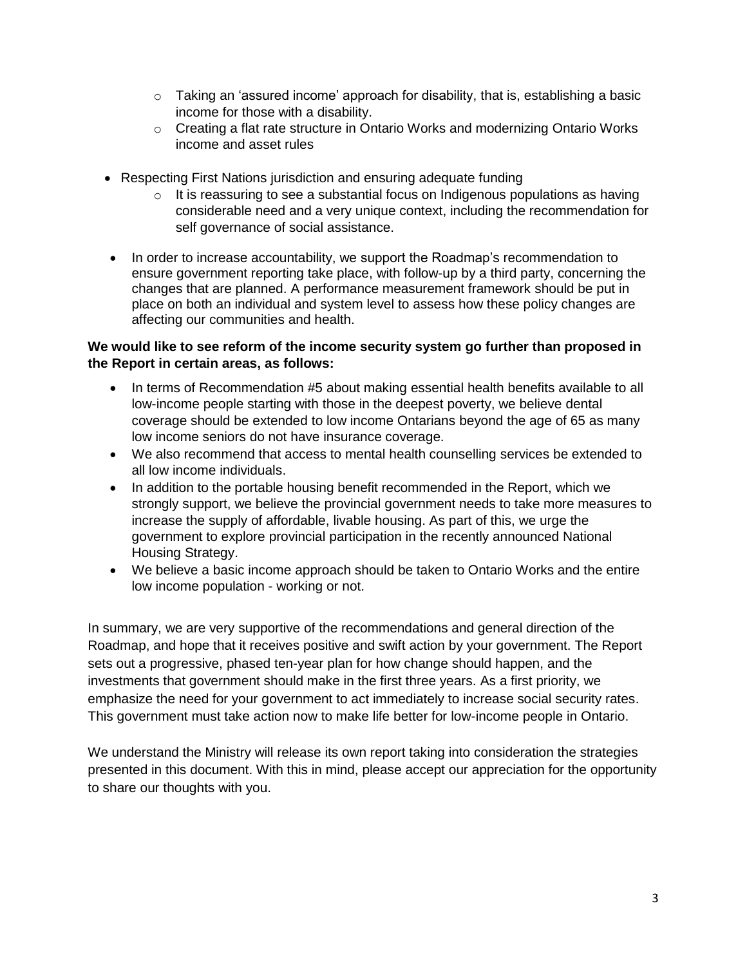- $\circ$  Taking an 'assured income' approach for disability, that is, establishing a basic income for those with a disability.
- $\circ$  Creating a flat rate structure in Ontario Works and modernizing Ontario Works income and asset rules
- Respecting First Nations jurisdiction and ensuring adequate funding
	- o It is reassuring to see a substantial focus on Indigenous populations as having considerable need and a very unique context, including the recommendation for self governance of social assistance.
- In order to increase accountability, we support the Roadmap's recommendation to ensure government reporting take place, with follow-up by a third party, concerning the changes that are planned. A performance measurement framework should be put in place on both an individual and system level to assess how these policy changes are affecting our communities and health.

## **We would like to see reform of the income security system go further than proposed in the Report in certain areas, as follows:**

- In terms of Recommendation #5 about making essential health benefits available to all low-income people starting with those in the deepest poverty, we believe dental coverage should be extended to low income Ontarians beyond the age of 65 as many low income seniors do not have insurance coverage.
- We also recommend that access to mental health counselling services be extended to all low income individuals.
- In addition to the portable housing benefit recommended in the Report, which we strongly support, we believe the provincial government needs to take more measures to increase the supply of affordable, livable housing. As part of this, we urge the government to explore provincial participation in the recently announced National Housing Strategy.
- We believe a basic income approach should be taken to Ontario Works and the entire low income population - working or not.

In summary, we are very supportive of the recommendations and general direction of the Roadmap, and hope that it receives positive and swift action by your government. The Report sets out a progressive, phased ten-year plan for how change should happen, and the investments that government should make in the first three years. As a first priority, we emphasize the need for your government to act immediately to increase social security rates. This government must take action now to make life better for low-income people in Ontario.

We understand the Ministry will release its own report taking into consideration the strategies presented in this document. With this in mind, please accept our appreciation for the opportunity to share our thoughts with you.